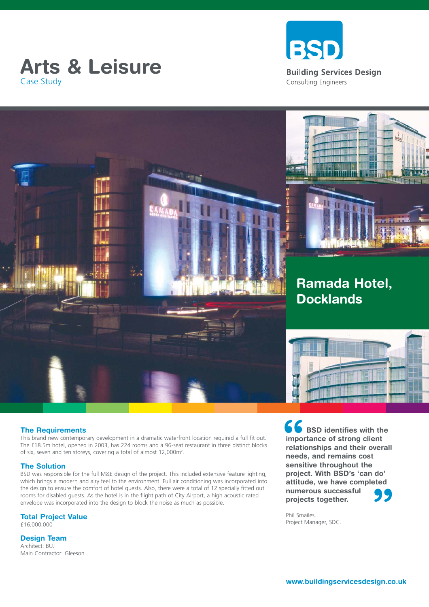





### **The Requirements**

This brand new contemporary development in a dramatic waterfront location required a full fit out. The £18.5m hotel, opened in 2003, has 224 rooms and a 96-seat restaurant in three distinct blocks of six, seven and ten storeys, covering a total of almost 12,000m<sup>2</sup>.

### **The Solution**

BSD was responsible for the full M&E design of the project. This included extensive feature lighting, which brings a modern and airy feel to the environment. Full air conditioning was incorporated into the design to ensure the comfort of hotel guests. Also, there were a total of 12 specially fitted out rooms for disabled guests. As the hotel is in the flight path of City Airport, a high acoustic rated envelope was incorporated into the design to block the noise as much as possible.

**Total Project Value**

£16,000,000

**Design Team**

Architect: BUJ Main Contractor: Gleeson **66**<br>
impor<br>
relative<br>
needs **" BSD identifies with the importance of strong client relationships and their overall needs, and remains cost sensitive throughout the project. With BSD's 'can do' attitude, we have completed numerous successful projects together.** 

Phil Smailes. Project Manager, SDC.